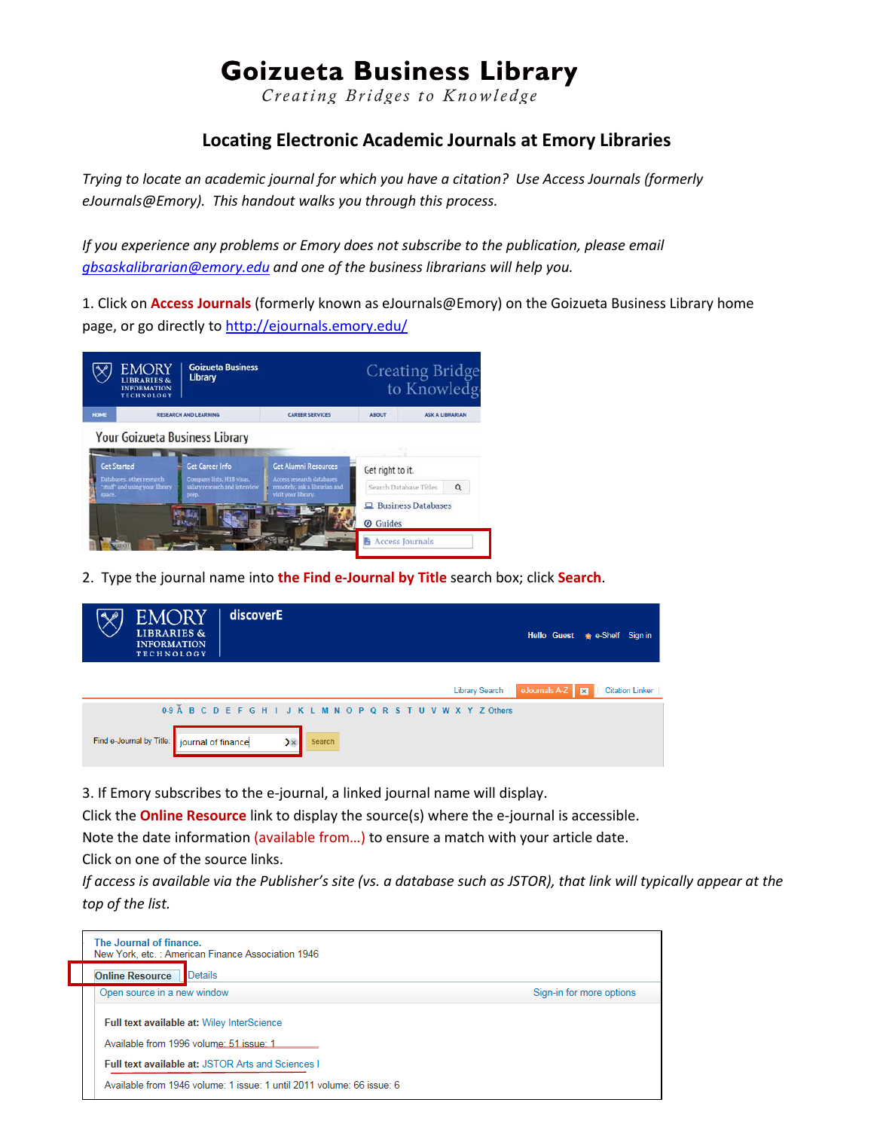## **Goizueta Business Library**

Creating Bridges to Knowledge

## **Locating Electronic Academic Journals at Emory Libraries**

*Trying to locate an academic journal for which you have a citation? Use Access Journals (formerly eJournals@Emory). This handout walks you through this process.*

*If you experience any problems or Emory does not subscribe to the publication, please email [gbsaskalibrarian@emory.edu](mailto:gbsaskalibrarian@emory.edu) and one of the business librarians will help you.*

1. Click on **Access Journals** (formerly known as eJournals@Emory) on the Goizueta Business Library home page, or go directly to<http://ejournals.emory.edu/>



2. Type the journal name into **the Find e-Journal by Title** search box; click **Search**.

| <b>EMORY</b><br><b>LIBRARIES &amp;</b><br><b>INFORMATION</b><br><b>TECHNOLOGY</b> | discoverE                                                      |                        | Hello Guest <sub>*</sub> e-Shelf Sign in |
|-----------------------------------------------------------------------------------|----------------------------------------------------------------|------------------------|------------------------------------------|
|                                                                                   | Library Search                                                 | eJournals A-Z <b>B</b> | <b>Citation Linker</b>                   |
|                                                                                   | 0.9 Å B C D E F G H I J K L M N O P Q R S T U V W X Y Z Others |                        |                                          |
| Find e-Journal by Title: journal of finance                                       | $\mathbf{y}$<br>Search                                         |                        |                                          |

3. If Emory subscribes to the e-journal, a linked journal name will display.

Click the **Online Resource** link to display the source(s) where the e-journal is accessible.

Note the date information (available from…) to ensure a match with your article date.

Click on one of the source links.

*If access is available via the Publisher's site (vs. a database such as JSTOR), that link will typically appear at the top of the list.*

| The Journal of finance.<br>New York, etc.: American Finance Association 1946          |                          |
|---------------------------------------------------------------------------------------|--------------------------|
| <b>Online Resource</b><br>Details                                                     |                          |
| Open source in a new window                                                           | Sign-in for more options |
| Full text available at: Wiley InterScience<br>Available from 1996 volume: 51 issue: 1 |                          |
| <b>Full text available at: JSTOR Arts and Sciences I</b>                              |                          |
| Available from 1946 volume: 1 issue: 1 until 2011 volume: 66 issue: 6                 |                          |